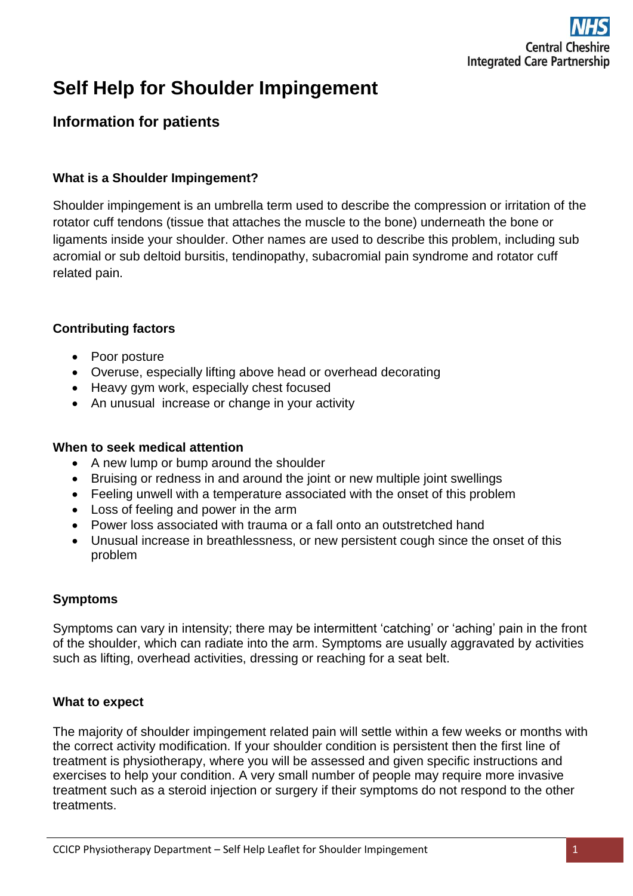

# **Self Help for Shoulder Impingement**

# **Information for patients**

#### **What is a Shoulder Impingement?**

Shoulder impingement is an umbrella term used to describe the compression or irritation of the rotator cuff tendons (tissue that attaches the muscle to the bone) underneath the bone or ligaments inside your shoulder. Other names are used to describe this problem, including sub acromial or sub deltoid bursitis, tendinopathy, subacromial pain syndrome and rotator cuff related pain.

#### **Contributing factors**

- Poor posture
- Overuse, especially lifting above head or overhead decorating
- Heavy gym work, especially chest focused
- An unusual increase or change in your activity

#### **When to seek medical attention**

- A new lump or bump around the shoulder
- Bruising or redness in and around the joint or new multiple joint swellings
- Feeling unwell with a temperature associated with the onset of this problem
- Loss of feeling and power in the arm
- Power loss associated with trauma or a fall onto an outstretched hand
- Unusual increase in breathlessness, or new persistent cough since the onset of this problem

#### **Symptoms**

Symptoms can vary in intensity; there may be intermittent 'catching' or 'aching' pain in the front of the shoulder, which can radiate into the arm. Symptoms are usually aggravated by activities such as lifting, overhead activities, dressing or reaching for a seat belt.

#### **What to expect**

The majority of shoulder impingement related pain will settle within a few weeks or months with the correct activity modification. If your shoulder condition is persistent then the first line of treatment is physiotherapy, where you will be assessed and given specific instructions and exercises to help your condition. A very small number of people may require more invasive treatment such as a steroid injection or surgery if their symptoms do not respond to the other treatments.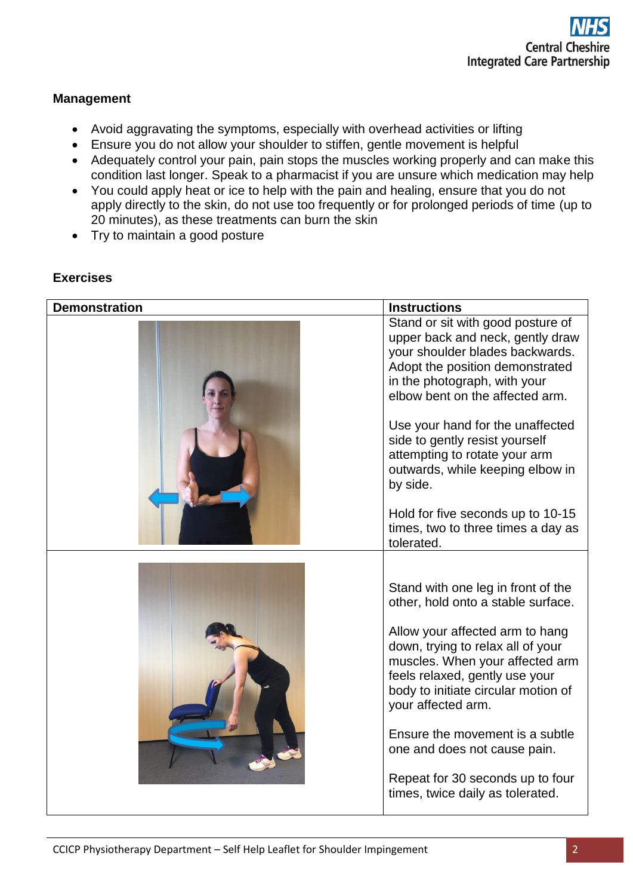# **Management**

- Avoid aggravating the symptoms, especially with overhead activities or lifting
- Ensure you do not allow your shoulder to stiffen, gentle movement is helpful
- Adequately control your pain, pain stops the muscles working properly and can make this condition last longer. Speak to a pharmacist if you are unsure which medication may help
- You could apply heat or ice to help with the pain and healing, ensure that you do not apply directly to the skin, do not use too frequently or for prolonged periods of time (up to 20 minutes), as these treatments can burn the skin
- Try to maintain a good posture

# **Exercises**

| <b>Demonstration</b> | <b>Instructions</b>                                                                                                                                                                                            |
|----------------------|----------------------------------------------------------------------------------------------------------------------------------------------------------------------------------------------------------------|
|                      | Stand or sit with good posture of<br>upper back and neck, gently draw<br>your shoulder blades backwards.<br>Adopt the position demonstrated<br>in the photograph, with your<br>elbow bent on the affected arm. |
|                      | Use your hand for the unaffected<br>side to gently resist yourself<br>attempting to rotate your arm<br>outwards, while keeping elbow in<br>by side.                                                            |
|                      | Hold for five seconds up to 10-15<br>times, two to three times a day as<br>tolerated.                                                                                                                          |
|                      |                                                                                                                                                                                                                |
|                      | Stand with one leg in front of the<br>other, hold onto a stable surface.                                                                                                                                       |
|                      | Allow your affected arm to hang<br>down, trying to relax all of your<br>muscles. When your affected arm<br>feels relaxed, gently use your<br>body to initiate circular motion of<br>your affected arm.         |
|                      | Ensure the movement is a subtle<br>one and does not cause pain.                                                                                                                                                |
|                      | Repeat for 30 seconds up to four<br>times, twice daily as tolerated.                                                                                                                                           |